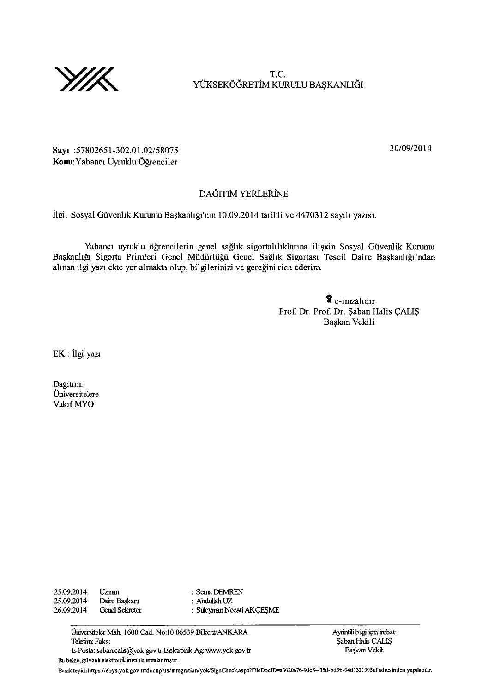

T.C. YÜKSEKÖĞRETİM KURULU BAŞKANLIĞI

30/09/2014

Sayı: 57802651-302.01.02/58075 Konu: Yabancı Uyruklu Öğrenciler

## DAGITIM YERLERINE

İlgi: Sosyal Güvenlik Kurumu Başkanlığı'nın 10.09.2014 tarihli ve 4470312 sayılı yazısı.

Yabancı uyruklu öğrencilerin genel sağlık sigortalılıklarına ilişkin Sosyal Güvenlik Kurumu Başkanlığı Sigorta Primleri Genel Müdürlüğü Genel Sağlık Sigortası Tescil Daire Başkanlığı'ndan alınan ilgi yazı ekte yer almakta olup, bilgilerinizi ve gereğini rica ederim.

> $\hat{\mathbf{z}}$  e-imzalidir Prof. Dr. Prof. Dr. \$aban Halis CALI\$ Bagkan Vekili

EK : Ilgi yaz

Dağıtım: Univers itelere Vahf MYO

25.09.2014 Uzman : Serra DEMREN<br>25.09.2014 Daire Başkanı : Abdullah UZ 25.09.2014 Daire Başkaru : Abdullah UZ<br>26.09.2014 Genel Sekreter : Süleyman New 26.09.2014 CrelSeketer : Siileyrnn Necati AKQE\$ME

Universiteler Mah. 1600.Cad. No:10 06539 Bilkent/ANKARA Alexander Ayrintili bilgi için irtbat:<br>Telefon: Faks: Saban Halis CALIS E-Posta: saban.calis@yok.gov.tr Elektronik Ag www.yok.gov.tr Bu belge, güvenli elektronik inza ile inzalanmıştır.

Şaban Halis ÇALIŞ<br>Baskan Vekili

Evrak teyidi https://ebys.yok.gov.tr/docuplus/integration/yok/SignCheck.aspx?FileDocID=a3620a76-9de8-435d-bd9b-94d1321995af adres inden yapılabilir.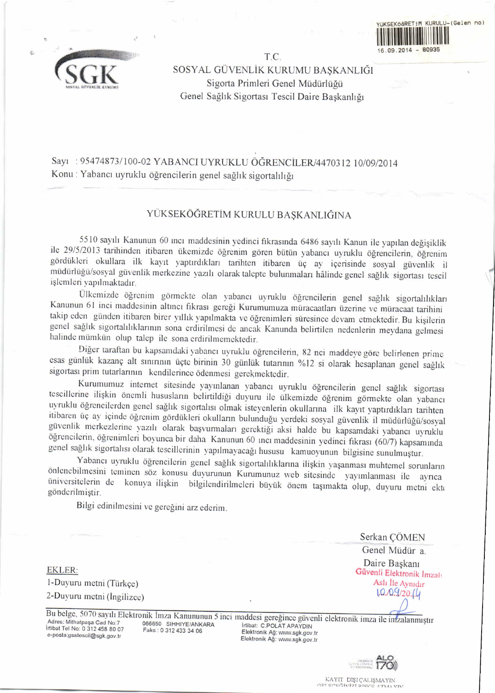



T.C. SOSYAL GUVENLiK KURUMU BA\$KANLIGI Sigorta Primleri Genel Müdürlüğü Genel Sağlık Sigortası Tescil Daire Başkanlığı

Sayı: 95474873/100-02 YABANCI UYRUKLU ÖĞRENCİLER/4470312 10/09/2014 Konu : Yabancı uyruklu öğrencilerin genel sağlık sigortalılığı

## YUKSEKOGRETIM KURULU BASKANLIGINA

5510 sayılı Kanunun 60 inci maddesinin yedinci fikrasında 6486 sayılı Kanun ile yapılan değişiklik ile 29/5/2013 tarihinden itibaren ükemizde öğrenim gören bütün yabancı uyruklu öğrencilerin, öğrenim gördükleri okullara il işlemleri yapılmaktadır.

.<br>K.a. Ülkemizde öğrenim görmekte olan yabancı uyruklu öğrencilerin genel sağlık sigortalılıkları Kanunun 61 inci maddesinin altıncı fikrası gereği Kurumumuza müracaatları üzerine ve müracaat tarihini takip eden günden itibaren birer yıllık yapılmakta ve öğrenimleri süresince devam etmektedir. Bu kişilerin genel sağlık sigortalılıklarının sona erdirilmesi de ancak Kanunda belirtilen nedenlerin meydana gelmesi halinde mümkün olup talep ile sona erdirilmemektedir.

Diğer taraftan bu kapsamdaki yabancı uyruklu öğrencilerin, 82 nci maddeye göre belirlenen prime esas günlük kazanç alt sınırının üçte birinin 30 günlük tutarının %12 si olarak hesaplanan genel sağlık sigortası prim tutarlarının kendilerince ödenmesi gerekmektedir.<br>Kurumumuz internet sitesinde yayınlanan yabancı uyruklu öğrencilerin genel sağlık sigortası

tescillerine ilişkin önemli hususların belirtildiği duyuru ile ülkemizde öğrenim görmekte olan yabancı<br>uyruklu öğrencilerden genel sağlık sigortalısı olmak isteyenlerin okullarına ilk kayıt yaptırdıkları tarihten itibaren üç ay içinde öğrenim gördükleri okulların bulunduğu yerdeki sosyal güvenlik il müdürlüğü/sosyal güvenlik merkezlerine yazılı olarak başvurmaları gerektiği aksi halde bu kapsamdaki yabancı uyruklu öğrencilerin, öğr

Yabancı uyruklu öğrencilerin genel sağlık sigortalılıklarına ilişkin yaşanması muhtemel sorunların<br>önlenebilmesini teminen söz konusu duyurunun Kurumunuz web sitesinde yayımlanması ile ayrıca<br>üniversitelerin de konuya iliş

Bilgi edinilmesini ve gereğini arz ederim.

EKLER: l-Duyuru metni (Türkçe) 2-Duyuru metni (Ingilizce) Serkan QOMEN

Genel Müdür a. Daire Başkanı Güvenli Elektronik İmzalı Aslı İle Aynıdır  $1.0.09/20.(4)$ 

Adres: Mithatpaşa Cad No:7 Irtibat Tel No: 0 312 458 80 07 e-posta:gsstescil@sgk.gov.tr

066650 SIHHIYE/ANKARA Faks : 0 312 433 34 06

Bu belge, 5070 sayılı Elektronik İmza Kanununun 5 inci maddesi gereğince güvenli elektronik imza Irtibat: C.POLAT APAYDIN<br>Elektronik Ağ: www.sgk.gov.t Elektronik Ağ: www.sgk.gov.tr



KAYIT DIŞI ÇALIŞMAYIN<br>GELECEĞIMZI DİŞKE ATMA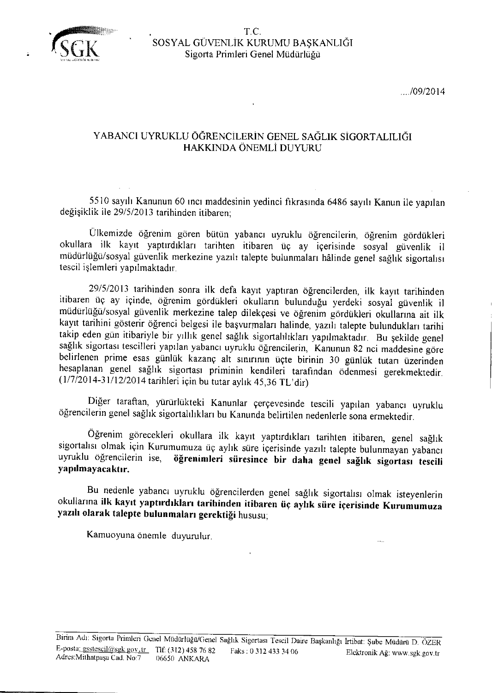

 $... / 09 / 2014$ 

## YABANCI UYRUKLU ÖĞRENCİLERİN GENEL SAĞLIK SİGORTALILIĞI HAKKINDA ÖNEMLI DUYURU

5510 sayrlr Kanunun 60 rncr maddesinin yedinci fikrasrnda 6486 sayrh Kanun ile yaprlan değişiklik ile 29/5/2013 tarihinden itibaren;

Ülkemizde öğrenim gören bütün yabancı uyruklu öğrencilerin, öğrenim gördükleri okullara ilk kayıt yaptırdıkları tarihten itibaren üç ay içerisinde sosyal güvenlik il müdürlüğü/sosyal güvenlik merkezine yazılı talepte bulunmaları hâlinde genel sağlık sigortalısı tescil işlemleri yapılmaktadır.

29/5/2013 tarihinden sonra ilk defa kayıt yaptıran öğrencilerden, ilk kayıt tarihinden itibaren üç ay içinde, öğrenim gördükleri okulların bulunduğu yerdeki sosyal güvenlik il müdürlüğü/sosyal güvenlik merkezine talep dilekçesi ve öğrenim gördükleri okullarına ait ilk kayıt tarihini gösterir öğrenci belgesi ile başvurmaları halinde, yazılı talepte bulundukları tarihi takip eden gün itibariyle bir yıllık genel sağlık sigortalılıkları yapılmaktadır. Bu şekilde genel sağlık sigortası tescilleri yapılan yabancı uyruklu öğrencilerin, Kanunun 82 nci maddesine göre belirlenen prime esas günlük kazanç alt sınırının üçte birinin 30 günlük tutan üzerinden hesaplanan genel sağlık sigortası priminin kendileri tarafından ödenmesi gerekmektedir. (1/7/2014-31/12/2014 tarihleri için bu tutar aylık 45,36 TL'dir)

Diğer taraftan, yürürlükteki Kanunlar çerçevesinde tescili yapılan yabancı uyruklu öğrencilerin genel sağlık sigortalılıkları bu Kanunda belirtilen nedenlerle sona ermektedir.

Öğrenim görecekleri okullara ilk kayıt yaptırdıkları tarihten itibaren, genel sağlık sigortalısı olmak için Kurumumuza üç aylık süre içerisinde yazılı talepte bulunmayan yabancı uyruklu öğrencilerin ise, öğrenimleri süresince bir daha genel sağlık sigortası tescili yapılmayacaktır.

Bu nedenle yabancı uyruklu öğrencilerden genel sağlık sigortalısı olmak isteyenlerin okullarına ilk kayıt yaptırdıkları tarihinden itibaren üç aylık süre içerisinde Kurumumuza yazılı olarak talepte bulunmaları gerektiği hususu;

Kamuoyuna önemle duyurulur.